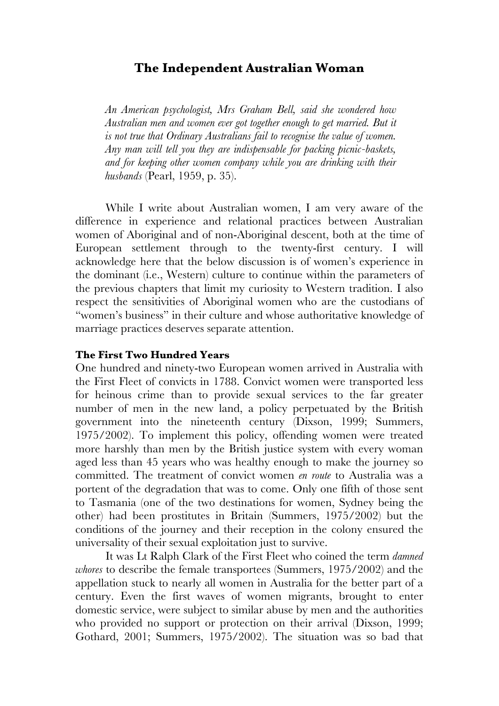## **The Independent Australian Woman**

*An American psychologist, Mrs Graham Bell, said she wondered how Australian men and women ever got together enough to get married. But it is not true that Ordinary Australians fail to recognise the value of women. Any man will tell you they are indispensable for packing picnic-baskets, and for keeping other women company while you are drinking with their husbands* (Pearl, 1959, p. 35).

While I write about Australian women, I am very aware of the difference in experience and relational practices between Australian women of Aboriginal and of non-Aboriginal descent, both at the time of European settlement through to the twenty-first century. I will acknowledge here that the below discussion is of women's experience in the dominant (i.e., Western) culture to continue within the parameters of the previous chapters that limit my curiosity to Western tradition. I also respect the sensitivities of Aboriginal women who are the custodians of "women's business" in their culture and whose authoritative knowledge of marriage practices deserves separate attention.

## **The First Two Hundred Years**

One hundred and ninety-two European women arrived in Australia with the First Fleet of convicts in 1788. Convict women were transported less for heinous crime than to provide sexual services to the far greater number of men in the new land, a policy perpetuated by the British government into the nineteenth century (Dixson, 1999; Summers, 1975/2002). To implement this policy, offending women were treated more harshly than men by the British justice system with every woman aged less than 45 years who was healthy enough to make the journey so committed. The treatment of convict women *en route* to Australia was a portent of the degradation that was to come. Only one fifth of those sent to Tasmania (one of the two destinations for women, Sydney being the other) had been prostitutes in Britain (Summers, 1975/2002) but the conditions of the journey and their reception in the colony ensured the universality of their sexual exploitation just to survive.

It was Lt Ralph Clark of the First Fleet who coined the term *damned whores* to describe the female transportees (Summers, 1975/2002) and the appellation stuck to nearly all women in Australia for the better part of a century. Even the first waves of women migrants, brought to enter domestic service, were subject to similar abuse by men and the authorities who provided no support or protection on their arrival (Dixson, 1999; Gothard, 2001; Summers, 1975/2002). The situation was so bad that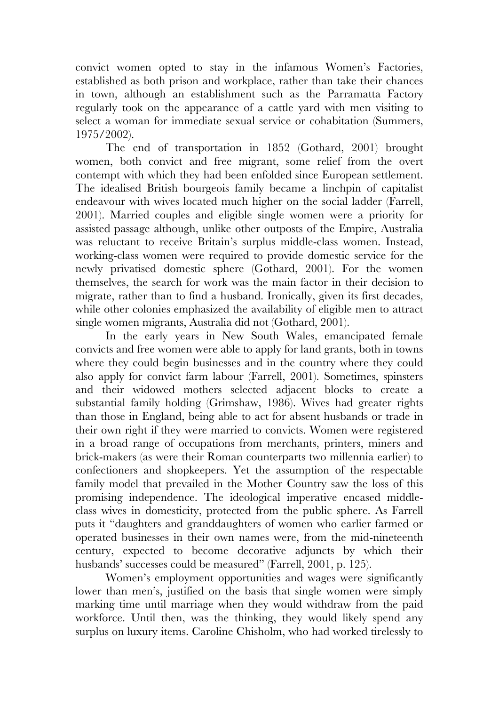convict women opted to stay in the infamous Women's Factories, established as both prison and workplace, rather than take their chances in town, although an establishment such as the Parramatta Factory regularly took on the appearance of a cattle yard with men visiting to select a woman for immediate sexual service or cohabitation (Summers, 1975/2002).

The end of transportation in 1852 (Gothard, 2001) brought women, both convict and free migrant, some relief from the overt contempt with which they had been enfolded since European settlement. The idealised British bourgeois family became a linchpin of capitalist endeavour with wives located much higher on the social ladder (Farrell, 2001). Married couples and eligible single women were a priority for assisted passage although, unlike other outposts of the Empire, Australia was reluctant to receive Britain's surplus middle-class women. Instead, working-class women were required to provide domestic service for the newly privatised domestic sphere (Gothard, 2001). For the women themselves, the search for work was the main factor in their decision to migrate, rather than to find a husband. Ironically, given its first decades, while other colonies emphasized the availability of eligible men to attract single women migrants, Australia did not (Gothard, 2001).

In the early years in New South Wales, emancipated female convicts and free women were able to apply for land grants, both in towns where they could begin businesses and in the country where they could also apply for convict farm labour (Farrell, 2001). Sometimes, spinsters and their widowed mothers selected adjacent blocks to create a substantial family holding (Grimshaw, 1986). Wives had greater rights than those in England, being able to act for absent husbands or trade in their own right if they were married to convicts. Women were registered in a broad range of occupations from merchants, printers, miners and brick-makers (as were their Roman counterparts two millennia earlier) to confectioners and shopkeepers. Yet the assumption of the respectable family model that prevailed in the Mother Country saw the loss of this promising independence. The ideological imperative encased middleclass wives in domesticity, protected from the public sphere. As Farrell puts it "daughters and granddaughters of women who earlier farmed or operated businesses in their own names were, from the mid-nineteenth century, expected to become decorative adjuncts by which their husbands' successes could be measured" (Farrell, 2001, p. 125).

Women's employment opportunities and wages were significantly lower than men's, justified on the basis that single women were simply marking time until marriage when they would withdraw from the paid workforce. Until then, was the thinking, they would likely spend any surplus on luxury items. Caroline Chisholm, who had worked tirelessly to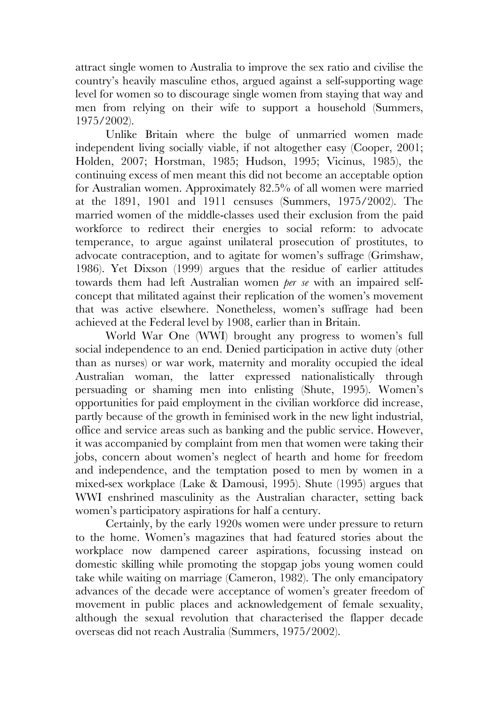attract single women to Australia to improve the sex ratio and civilise the country's heavily masculine ethos, argued against a self-supporting wage level for women so to discourage single women from staying that way and men from relying on their wife to support a household (Summers, 1975/2002).

Unlike Britain where the bulge of unmarried women made independent living socially viable, if not altogether easy (Cooper, 2001; Holden, 2007; Horstman, 1985; Hudson, 1995; Vicinus, 1985), the continuing excess of men meant this did not become an acceptable option for Australian women. Approximately 82.5% of all women were married at the 1891, 1901 and 1911 censuses (Summers, 1975/2002). The married women of the middle-classes used their exclusion from the paid workforce to redirect their energies to social reform: to advocate temperance, to argue against unilateral prosecution of prostitutes, to advocate contraception, and to agitate for women's suffrage (Grimshaw, 1986). Yet Dixson (1999) argues that the residue of earlier attitudes towards them had left Australian women *per se* with an impaired selfconcept that militated against their replication of the women's movement that was active elsewhere. Nonetheless, women's suffrage had been achieved at the Federal level by 1908, earlier than in Britain.

World War One (WWI) brought any progress to women's full social independence to an end. Denied participation in active duty (other than as nurses) or war work, maternity and morality occupied the ideal Australian woman, the latter expressed nationalistically through persuading or shaming men into enlisting (Shute, 1995). Women's opportunities for paid employment in the civilian workforce did increase, partly because of the growth in feminised work in the new light industrial, office and service areas such as banking and the public service. However, it was accompanied by complaint from men that women were taking their jobs, concern about women's neglect of hearth and home for freedom and independence, and the temptation posed to men by women in a mixed-sex workplace (Lake & Damousi, 1995). Shute (1995) argues that WWI enshrined masculinity as the Australian character, setting back women's participatory aspirations for half a century.

Certainly, by the early 1920s women were under pressure to return to the home. Women's magazines that had featured stories about the workplace now dampened career aspirations, focussing instead on domestic skilling while promoting the stopgap jobs young women could take while waiting on marriage (Cameron, 1982). The only emancipatory advances of the decade were acceptance of women's greater freedom of movement in public places and acknowledgement of female sexuality, although the sexual revolution that characterised the flapper decade overseas did not reach Australia (Summers, 1975/2002).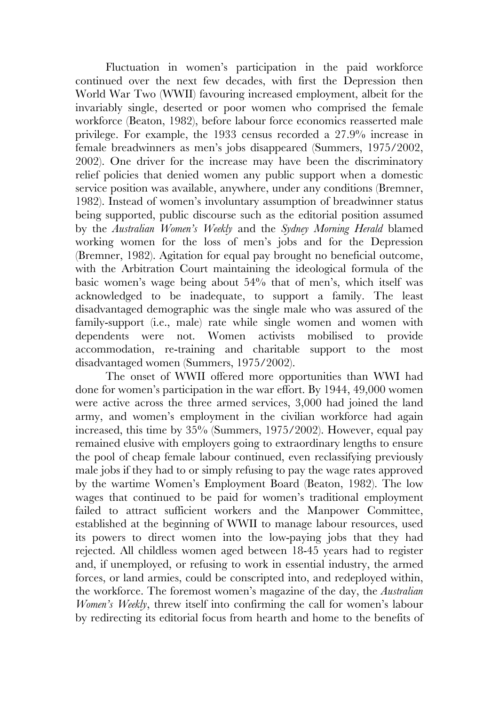Fluctuation in women's participation in the paid workforce continued over the next few decades, with first the Depression then World War Two (WWII) favouring increased employment, albeit for the invariably single, deserted or poor women who comprised the female workforce (Beaton, 1982), before labour force economics reasserted male privilege. For example, the 1933 census recorded a 27.9% increase in female breadwinners as men's jobs disappeared (Summers, 1975/2002, 2002). One driver for the increase may have been the discriminatory relief policies that denied women any public support when a domestic service position was available, anywhere, under any conditions (Bremner, 1982). Instead of women's involuntary assumption of breadwinner status being supported, public discourse such as the editorial position assumed by the *Australian Women's Weekly* and the *Sydney Morning Herald* blamed working women for the loss of men's jobs and for the Depression (Bremner, 1982). Agitation for equal pay brought no beneficial outcome, with the Arbitration Court maintaining the ideological formula of the basic women's wage being about 54% that of men's, which itself was acknowledged to be inadequate, to support a family. The least disadvantaged demographic was the single male who was assured of the family-support (i.e., male) rate while single women and women with dependents were not. Women activists mobilised to provide accommodation, re-training and charitable support to the most disadvantaged women (Summers, 1975/2002).

The onset of WWII offered more opportunities than WWI had done for women's participation in the war effort. By 1944, 49,000 women were active across the three armed services, 3,000 had joined the land army, and women's employment in the civilian workforce had again increased, this time by 35% (Summers, 1975/2002). However, equal pay remained elusive with employers going to extraordinary lengths to ensure the pool of cheap female labour continued, even reclassifying previously male jobs if they had to or simply refusing to pay the wage rates approved by the wartime Women's Employment Board (Beaton, 1982). The low wages that continued to be paid for women's traditional employment failed to attract sufficient workers and the Manpower Committee, established at the beginning of WWII to manage labour resources, used its powers to direct women into the low-paying jobs that they had rejected. All childless women aged between 18-45 years had to register and, if unemployed, or refusing to work in essential industry, the armed forces, or land armies, could be conscripted into, and redeployed within, the workforce. The foremost women's magazine of the day, the *Australian Women's Weekly*, threw itself into confirming the call for women's labour by redirecting its editorial focus from hearth and home to the benefits of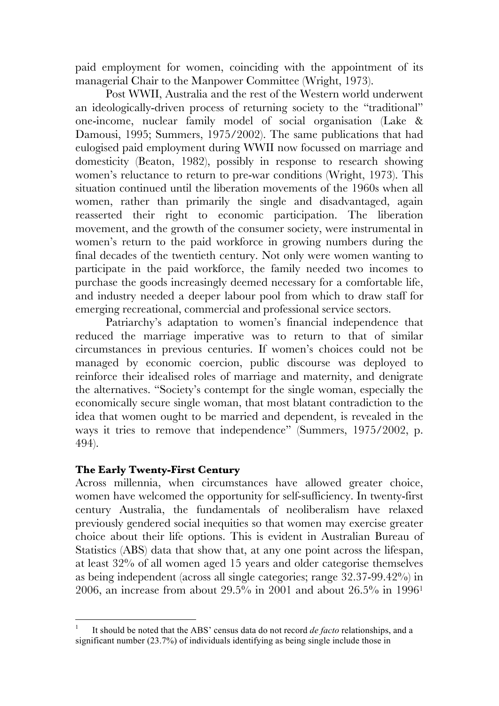paid employment for women, coinciding with the appointment of its managerial Chair to the Manpower Committee (Wright, 1973).

Post WWII, Australia and the rest of the Western world underwent an ideologically-driven process of returning society to the "traditional" one-income, nuclear family model of social organisation (Lake & Damousi, 1995; Summers, 1975/2002). The same publications that had eulogised paid employment during WWII now focussed on marriage and domesticity (Beaton, 1982), possibly in response to research showing women's reluctance to return to pre-war conditions (Wright, 1973). This situation continued until the liberation movements of the 1960s when all women, rather than primarily the single and disadvantaged, again reasserted their right to economic participation. The liberation movement, and the growth of the consumer society, were instrumental in women's return to the paid workforce in growing numbers during the final decades of the twentieth century. Not only were women wanting to participate in the paid workforce, the family needed two incomes to purchase the goods increasingly deemed necessary for a comfortable life, and industry needed a deeper labour pool from which to draw staff for emerging recreational, commercial and professional service sectors.

Patriarchy's adaptation to women's financial independence that reduced the marriage imperative was to return to that of similar circumstances in previous centuries. If women's choices could not be managed by economic coercion, public discourse was deployed to reinforce their idealised roles of marriage and maternity, and denigrate the alternatives. "Society's contempt for the single woman, especially the economically secure single woman, that most blatant contradiction to the idea that women ought to be married and dependent, is revealed in the ways it tries to remove that independence" (Summers, 1975/2002, p. 494).

## **The Early Twenty-First Century**

Across millennia, when circumstances have allowed greater choice, women have welcomed the opportunity for self-sufficiency. In twenty-first century Australia, the fundamentals of neoliberalism have relaxed previously gendered social inequities so that women may exercise greater choice about their life options. This is evident in Australian Bureau of Statistics (ABS) data that show that, at any one point across the lifespan, at least 32% of all women aged 15 years and older categorise themselves as being independent (across all single categories; range 32.37-99.42%) in 2006, an increase from about 29.5% in 2001 and about 26.5% in 19961

 $\frac{1}{1}$  It should be noted that the ABS' census data do not record *de facto* relationships, and a significant number (23.7%) of individuals identifying as being single include those in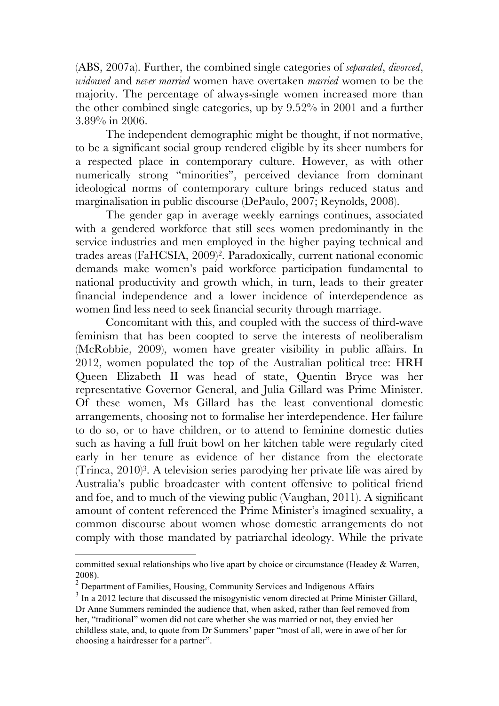(ABS, 2007a). Further, the combined single categories of *separated*, *divorced*, *widowed* and *never married* women have overtaken *married* women to be the majority. The percentage of always-single women increased more than the other combined single categories, up by 9.52% in 2001 and a further 3.89% in 2006.

The independent demographic might be thought, if not normative, to be a significant social group rendered eligible by its sheer numbers for a respected place in contemporary culture. However, as with other numerically strong "minorities", perceived deviance from dominant ideological norms of contemporary culture brings reduced status and marginalisation in public discourse (DePaulo, 2007; Reynolds, 2008).

The gender gap in average weekly earnings continues, associated with a gendered workforce that still sees women predominantly in the service industries and men employed in the higher paying technical and trades areas (FaHCSIA, 2009)2. Paradoxically, current national economic demands make women's paid workforce participation fundamental to national productivity and growth which, in turn, leads to their greater financial independence and a lower incidence of interdependence as women find less need to seek financial security through marriage.

Concomitant with this, and coupled with the success of third-wave feminism that has been coopted to serve the interests of neoliberalism (McRobbie, 2009), women have greater visibility in public affairs. In 2012, women populated the top of the Australian political tree: HRH Queen Elizabeth II was head of state, Quentin Bryce was her representative Governor General, and Julia Gillard was Prime Minister. Of these women, Ms Gillard has the least conventional domestic arrangements, choosing not to formalise her interdependence. Her failure to do so, or to have children, or to attend to feminine domestic duties such as having a full fruit bowl on her kitchen table were regularly cited early in her tenure as evidence of her distance from the electorate (Trinca, 2010)3. A television series parodying her private life was aired by Australia's public broadcaster with content offensive to political friend and foe, and to much of the viewing public (Vaughan, 2011). A significant amount of content referenced the Prime Minister's imagined sexuality, a common discourse about women whose domestic arrangements do not comply with those mandated by patriarchal ideology. While the private

1

committed sexual relationships who live apart by choice or circumstance (Headey & Warren,

<sup>2008).</sup> <sup>2</sup> Department of Families, Housing, Community Services and Indigenous Affairs

 $3 \text{ In a } 2012$  lecture that discussed the misogynistic venom directed at Prime Minister Gillard, Dr Anne Summers reminded the audience that, when asked, rather than feel removed from her, "traditional" women did not care whether she was married or not, they envied her childless state, and, to quote from Dr Summers' paper "most of all, were in awe of her for choosing a hairdresser for a partner".